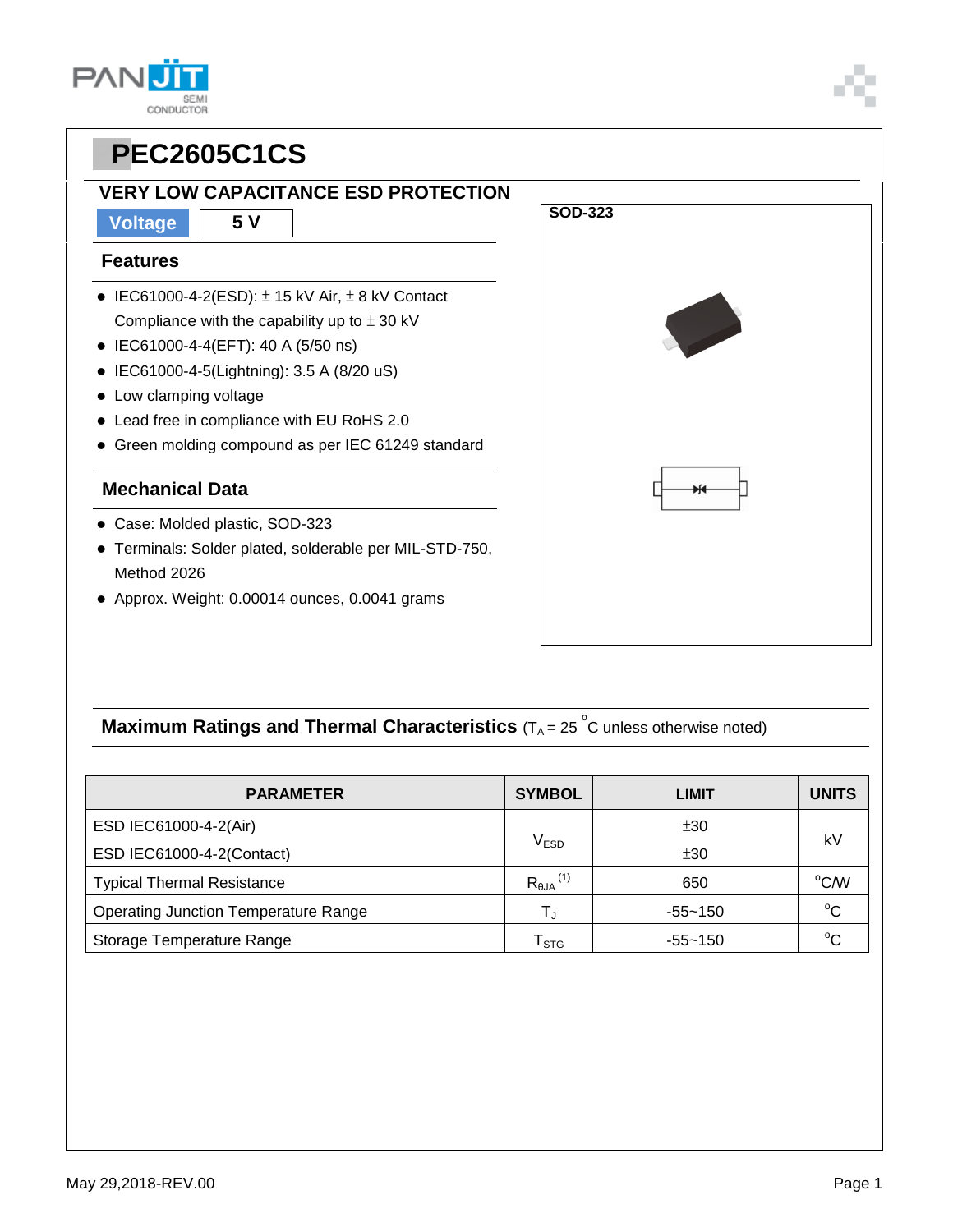### **VERY LOW CAPACITANCE ESD PROTECTION**

**Voltage 5 V**

#### **Features**

- $\bullet$  IEC61000-4-2(ESD):  $\pm$  15 kV Air,  $\pm$  8 kV Contact Compliance with the capability up to  $\pm$  30 kV
- IEC61000-4-4(EFT): 40 A (5/50 ns)
- IEC61000-4-5(Lightning): 3.5 A (8/20 uS)
- Low clamping voltage
- Lead free in compliance with EU RoHS 2.0
- Green molding compound as per IEC 61249 standard

### **Mechanical Data**

- Case: Molded plastic, SOD-323
- Terminals: Solder plated, solderable per MIL-STD-750, Method 2026
- Approx. Weight: 0.00014 ounces, 0.0041 grams



## **Maximum Ratings and Thermal Characteristics** (T<sub>A</sub> = 25<sup>°</sup>C unless otherwise noted)

| <b>PARAMETER</b>                            | <b>SYMBOL</b>                 | <b>LIMIT</b> | <b>UNITS</b> |  |
|---------------------------------------------|-------------------------------|--------------|--------------|--|
| ESD IEC61000-4-2(Air)                       |                               | ±30          | kV           |  |
| ESD IEC61000-4-2(Contact)                   | $\mathsf{V}_{\mathsf{ESD}}$   | ±30          |              |  |
| <b>Typical Thermal Resistance</b>           | $R_{\theta$ JA <sup>(1)</sup> | 650          | °C/W         |  |
| <b>Operating Junction Temperature Range</b> | T,                            | $-55 - 150$  | $^{\circ}C$  |  |
| Storage Temperature Range                   | $\mathsf{T}_{\texttt{STG}}$   | -55~150      | $^{\circ}$ C |  |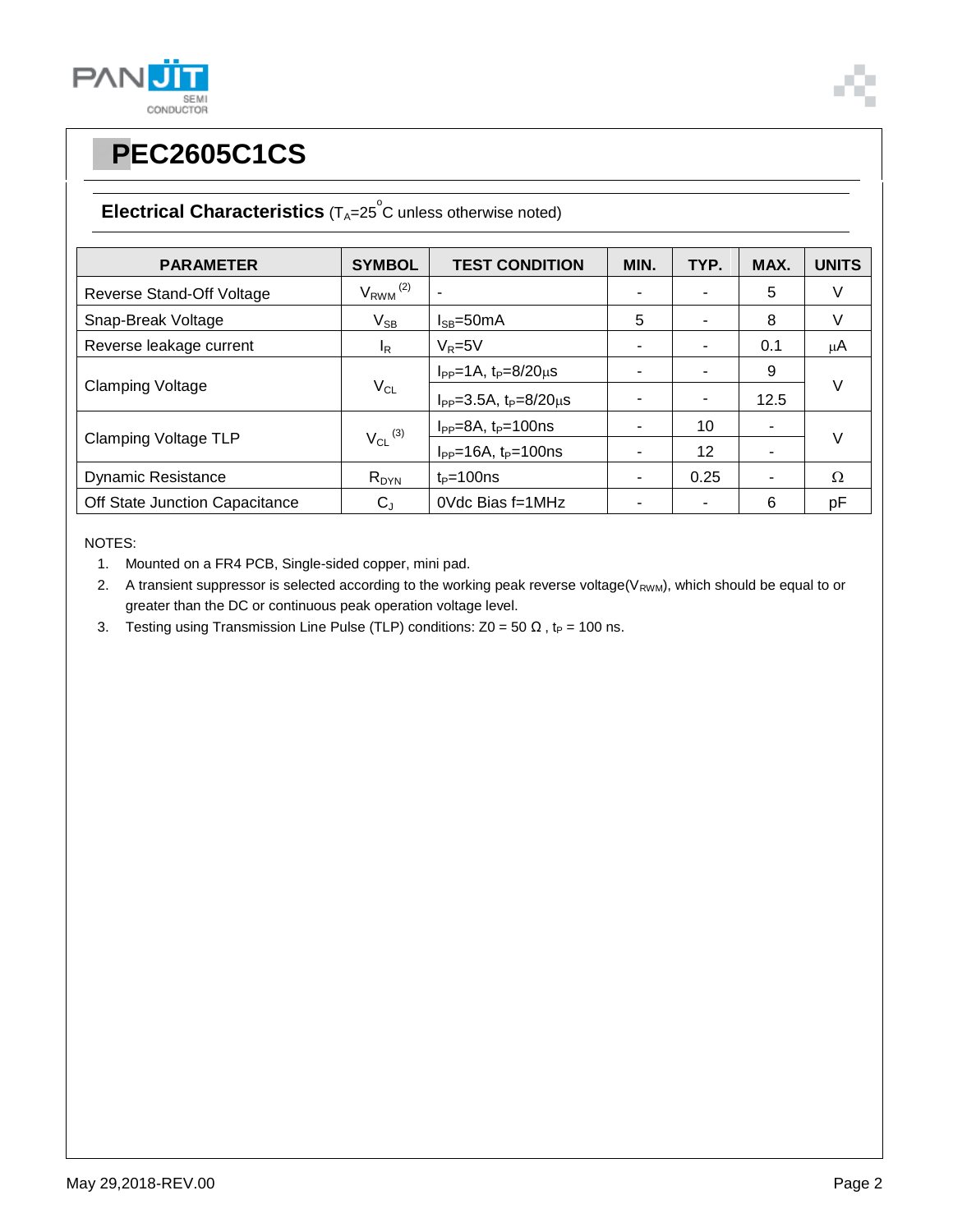



## **Electrical Characteristics** (T<sub>A</sub>=25<sup>°</sup>C unless otherwise noted)

| <b>PARAMETER</b>               | <b>SYMBOL</b>            | <b>TEST CONDITION</b>                | MIN. | TYP. | MAX. | <b>UNITS</b> |  |
|--------------------------------|--------------------------|--------------------------------------|------|------|------|--------------|--|
| Reverse Stand-Off Voltage      | $V_{RWM}$ <sup>(2)</sup> |                                      |      |      | 5    | V            |  |
| Snap-Break Voltage             | $V_{SB}$                 | $I_{SB} = 50mA$                      | 5    |      | 8    | V            |  |
| Reverse leakage current        | I <sub>R</sub>           | $V_R = 5V$                           |      |      | 0.1  | μA           |  |
| <b>Clamping Voltage</b>        | $V_{CL}$                 | $I_{PP} = 1A$ , $t_P = 8/20 \mu s$   |      |      | 9    |              |  |
|                                |                          | $I_{PP} = 3.5A$ , $t_P = 8/20 \mu s$ |      |      | 12.5 | V            |  |
| <b>Clamping Voltage TLP</b>    | $V_{CL}$ <sup>(3)</sup>  | $I_{PP} = 8A$ , $t_P = 100$ ns       |      | 10   | ۰    | V            |  |
|                                |                          | $I_{PP}$ =16A, $t_P$ =100ns          |      | 12   |      |              |  |
| <b>Dynamic Resistance</b>      | $R_{DYN}$                | $t_P = 100$ ns                       |      | 0.25 | ۰    | Ω            |  |
| Off State Junction Capacitance | $C_{J}$                  | 0Vdc Bias f=1MHz                     |      |      | 6    | pF           |  |

NOTES:

- 1. Mounted on a FR4 PCB, Single-sided copper, mini pad.
- 2. A transient suppressor is selected according to the working peak reverse voltage( $V_{RWM}$ ), which should be equal to or greater than the DC or continuous peak operation voltage level.
- 3. Testing using Transmission Line Pulse (TLP) conditions:  $Z0 = 50 \Omega$ , t<sub>P</sub> = 100 ns.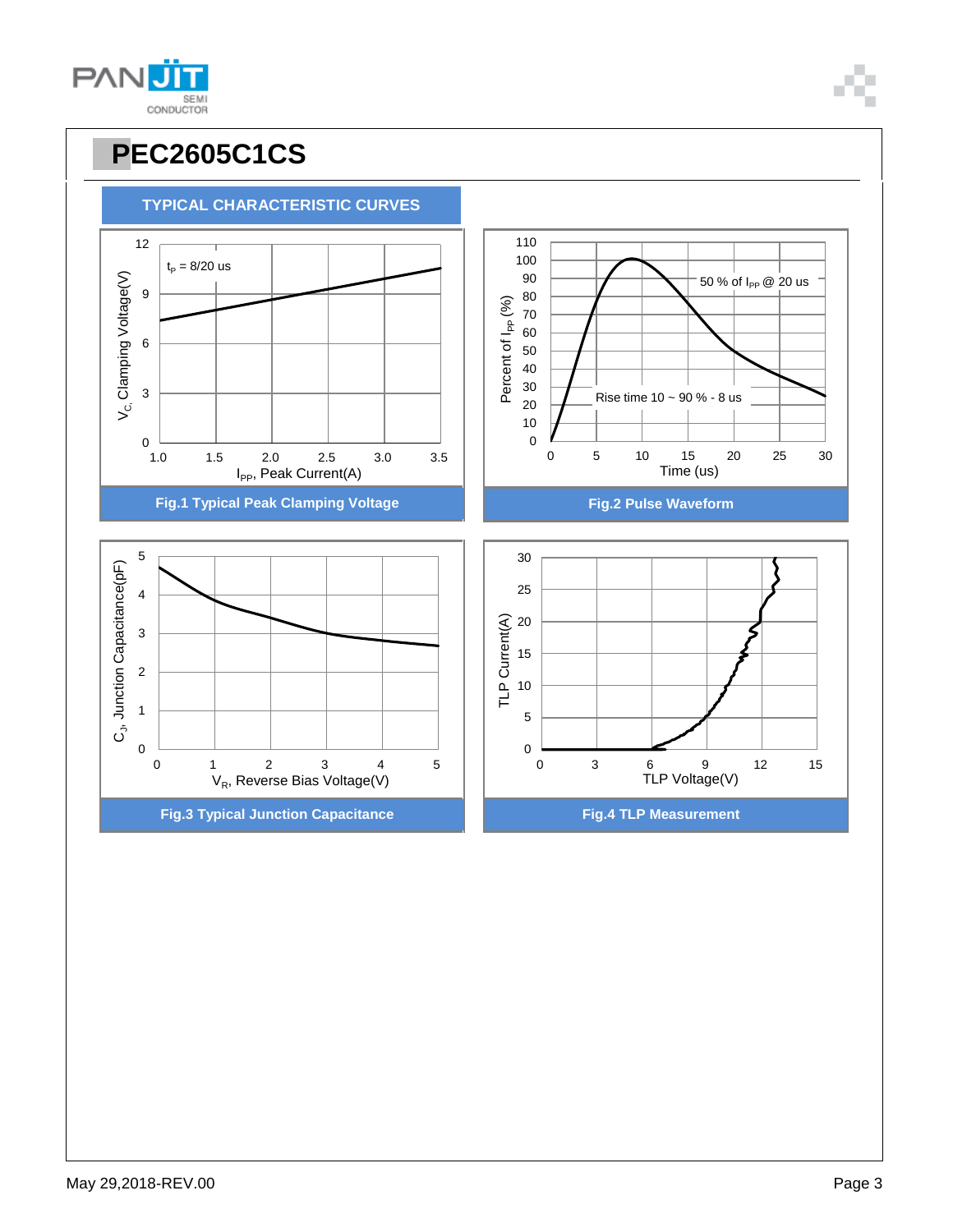

# **PPEC2605C1CS**

 $t_P = 8/20$  us

**TYPICAL CHARACTERISTIC CURVES**

9

12



50 % of  $I_{PP}$  @ 20 us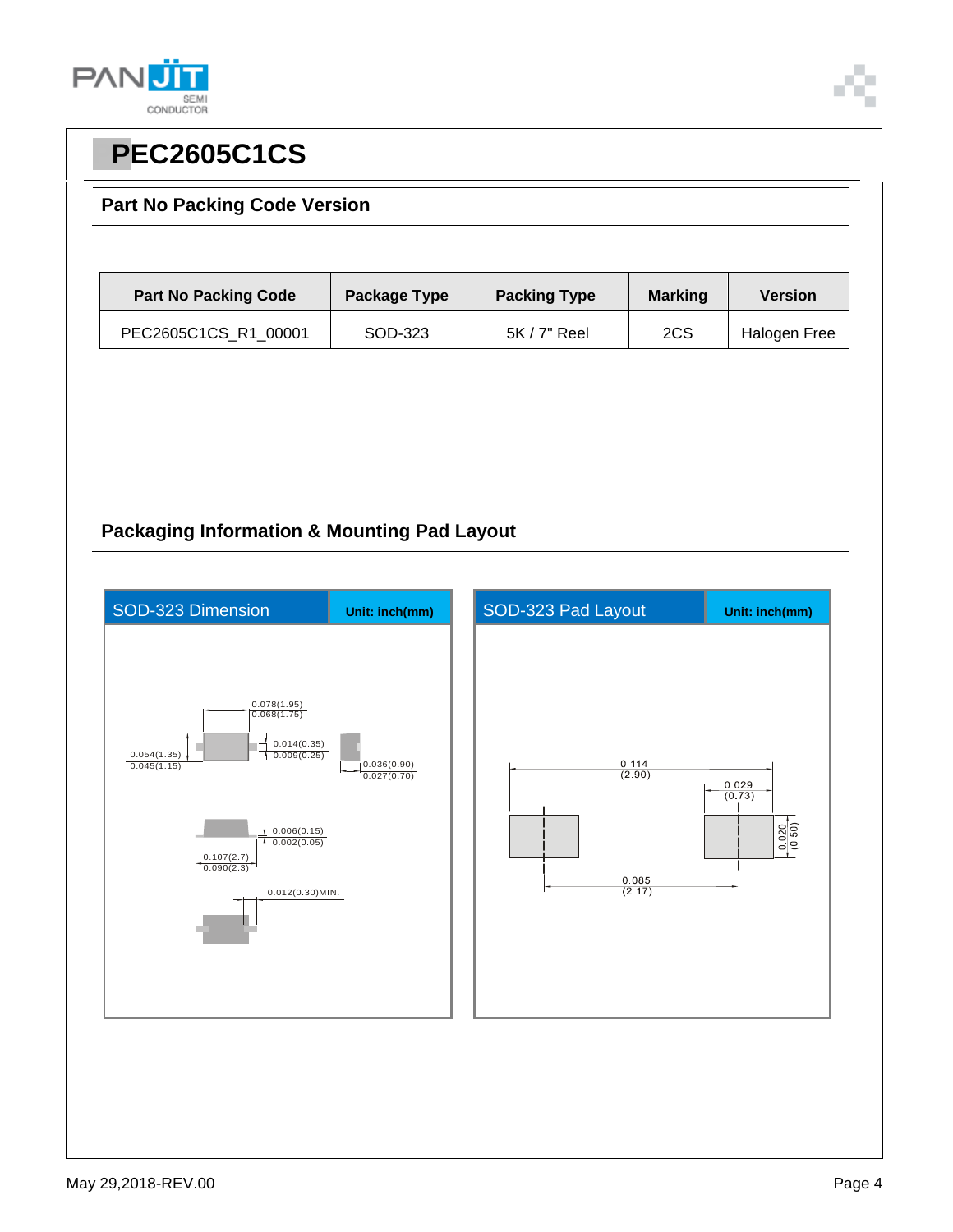



### **Part No Packing Code Version**

| <b>Part No Packing Code</b> | <b>Package Type</b> | <b>Packing Type</b> | <b>Marking</b> | <b>Version</b> |
|-----------------------------|---------------------|---------------------|----------------|----------------|
| PEC2605C1CS_R1_00001        | SOD-323             | $5K/7"$ Reel        | 2CS            | Halogen Free   |

## **Packaging Information & Mounting Pad Layout**